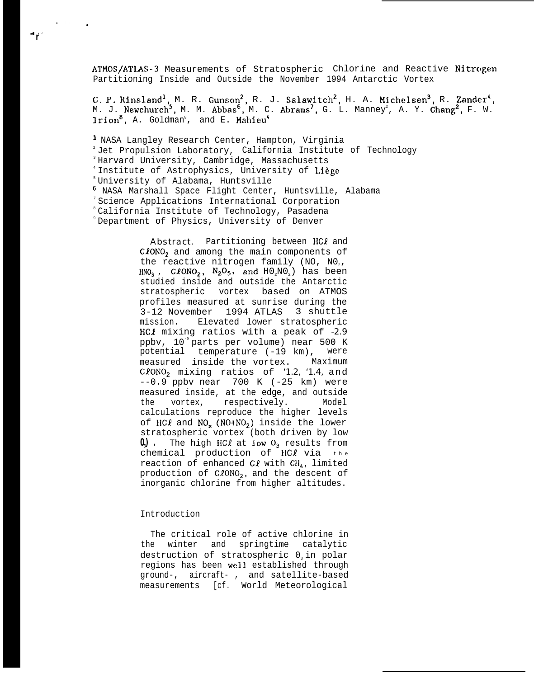ATMOS/ATLAS-3 Measurements of Stratospheric Chlorine and Reactive Nitrogen Partitioning Inside and Outside the November 1994 Antarctic Vortex

C. P. Rinsland<sup>1</sup>, M. R. Gunson<sup>2</sup>, R. J. Salawitch<sup>2</sup>, H. A. Michelsen<sup>3</sup>, R. Zander<sup>4</sup>, M. J. Newchurch $^5$ , M. M. Abbas $^6$ , M. C. Abrams $^7$ , G. L. Manney $^2$ , A. Y. **Chang** $^2$ **,** F. W. <code>lrion $^8$ ,</code> A. Goldman $^\circ$ , and E. Mahieu $^4$ 

) NASA Langley Research Center, Hampton, Virginia  $2$  Jet Propulsion Laboratory, California Institute of Technology <sup>3</sup>Harvard University, Cambridge, Massachusetts <sup>4</sup> Institute of Astrophysics, University of Liège <sup>5</sup>University of Alabama, Huntsville 6 NASA Marshall Space Flight Center, Huntsville, Alabama <sup>7</sup> Science Applications International Corporation <sup>8</sup> California Institute of Technology, Pasadena <sup>9</sup> Department of Physics, University of Denver

> Abstract. Partitioning between HCl and  $C/CONO<sub>2</sub>$  and among the main components of the reactive nitrogen family (NO,  $NO<sub>2</sub>$ ,  $HNO<sub>3</sub>$ , ClONO<sub>2</sub>, N<sub>2</sub>O<sub>5</sub>, and HO<sub>2</sub>NO<sub>2</sub>) has been studied inside and outside the Antarctic stratospheric vortex based on ATMOS profiles measured at sunrise during the 3-12 November 1994 ATLAS 3 shuttle mission. Elevated lower stratospheric HCI mixing ratios with a peak of *-2.9* ppbv, 10<sup>-9</sup> parts per volume) near 500 K potential temperature (-19 km), were measured inside the vortex. Maximum CION02 mixing ratios of *'1.2, '1.4,* and --0.9 ppbv near 700 K (-25 km) were measured inside, at the edge, and outside the vortex, respectively. Model calculations reproduce the higher levels of HC $\ell$  and NO<sub>x</sub> (NO+NO<sub>2</sub>) inside the lower stratospheric vortex (both driven by low  $0$ <sup>3</sup>). The high HCl at low  $0$ <sup>3</sup> results from chemical production of  $HCl$  via  $th$ <sup>e</sup> reaction of enhanced  $C\ell$  with  $CH<sub>L</sub>$ , limited production of  $C\ell ONO<sub>2</sub>$ , and the descent of inorganic chlorine from higher altitudes.

## Introduction

,. .

4.>**r**

The critical role of active chlorine in the winter and springtime catalytic destruction of stratospheric 0. in polar regions has been well established through ground-, aircraft- , and satellite-based measurements [cf. World Meteorological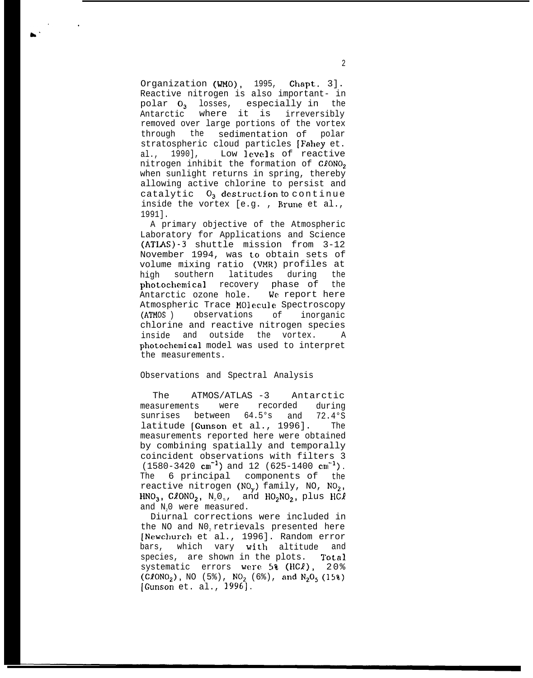Organization (WMO), 1995, Chapt. 3]. Reactive nitrogen is also important- in polar  $0_3$  losses, especially in the Antarctic where it is irreversibly removed over large portions of the vortex through the sedimentation of polar stratospheric cloud particles [Fahey et. al., 1990], Low levels of reactive nitrogen inhibit the formation of  $C\ell ONO_2$ when sunlight returns in spring, thereby allowing active chlorine to persist and catalytic  $0_3$  destruction to continue inside the vortex [e.g. , Brune et al., 1991].

A primary objective of the Atmospheric Laboratory for Applications and Science (ATLAS)-3 shuttle mission from 3-12 November 1994, was to obtain sets of volume mixing ratio (VMR) profiles at high southern latitudes during the photochemical recovery phase of the Antarctic ozone hole. We report here Atmospheric Trace MOlecule Spectroscopy (ATMOS ) observations of inorganic chlorine and reactive nitrogen species inside and outside the vortex. A photochemical model was used to interpret the measurements.

## Observations and Spectral Analysis

The ATMOS/ATLAS -3 Antarctic measurements were recorded during sunrises between 64.5°s and 72.4°S latitude [Gunson et al., 1996]. The measurements reported here were obtained by combining spatially and temporally coincident observations with filters 3  $(1580-3420 \text{ cm}^{-1})$  and 12 (625-1400 cm<sup>-1</sup>). The 6 principal components of the reactive nitrogen (NO<sub>v</sub>) family, NO, NO<sub>2</sub>,  $HNO<sub>3</sub>$ , ClONO<sub>2</sub>, N<sub>2</sub>O<sub>5</sub>, and  $HO<sub>2</sub>NO<sub>2</sub>$ , plus HCl and N<sub>2</sub>0 were measured.

Diurnal corrections were included in the NO and NO<sub>2</sub> retrievals presented here [Newchurch et al., 1996]. Random error bars, which vary with altitude and species, are shown in the plots. Total systematic errors were 5% (HCI), 20% (CLONO<sub>2</sub>), NO (5%), NO<sub>2</sub> (6%), and N<sub>2</sub>O<sub>5</sub> (15%) [Gunson et. al., 1996].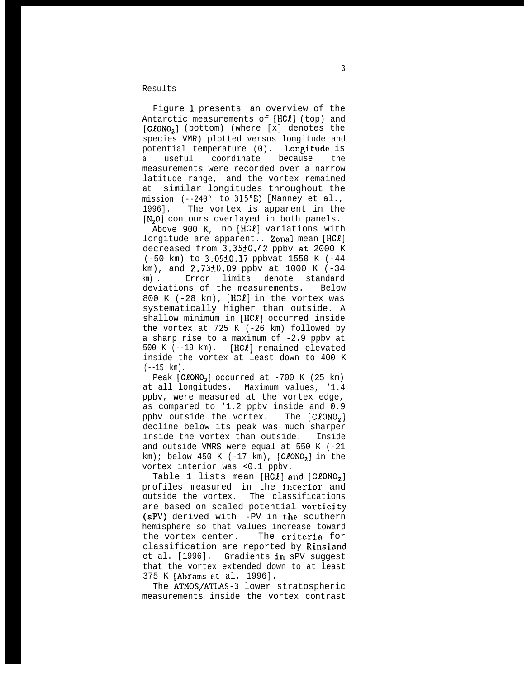Results

Figure 1 presents an overview of the Antarctic measurements of [HC*l*] (top) and [C20N02] (bottom) (where [x] denotes the species VMR) plotted versus longitude and potential temperature (0). Longitude is a useful coordinate because the measurements were recorded over a narrow latitude range, and the vortex remained at similar longitudes throughout the mission (--240° to 315°E) [Manney et al., 1996]. The vortex is apparent in the  $[N<sub>2</sub>0]$  contours overlayed in both panels.

Above 900 K, no [HC*l*] variations with longitude are apparent.. Zonal mean [HCl] decreased from 3.35±0.42 ppbv at 2000 K (-50 km) to 3.0910.17 ppbvat 1550 K (-44 km), and  $2.73\pm0.09$  ppby at 1000 K (-34) km) . Error limits denote standard deviations of the measurements. Below 800 K (-28 km),  $[HCL]$  in the vortex was systematically higher than outside. A shallow minimum in [HC*l*] occurred inside the vortex at 725 K (-26 km) followed by a sharp rise to a maximum of -2.9 ppbv at 500 K ( $-19$  km). [HC $\ell$ ] remained elevated inside the vortex at least down to 400 K  $(--15$  km).

Peak  $[C\ell ONO_2]$  occurred at -700 K (25 km) at all longitudes. Maximum values, '1.4 ppbv, were measured at the vortex edge, as compared to '1.2 ppbv inside and 0.9 ppbv outside the vortex. The  $[C\ell ONO<sub>2</sub>]$ decline below its peak was much sharper inside the vortex than outside. Inside and outside VMRS were equal at 550 K (-21 km); below 450 K (-17 km),  $[C\ell ONO<sub>2</sub>]$  in the vortex interior was <0.1 ppbv.

Table 1 lists mean  $[HCI]$  and  $[ClONO<sub>2</sub>]$ profiles measured in the interior and outside the vortex. The classifications are based on scaled potential vorticity (sPV) derived with -PV in the southern hemisphere so that values increase toward the vortex center. The criteria for classification are reported by Rinsland et al. [1996]. Gradients in sPV suggest that the vortex extended down to at least 375 K [Abrams et al. 1996].

The ATMOS/ATLAS-3 lower stratospheric measurements inside the vortex contrast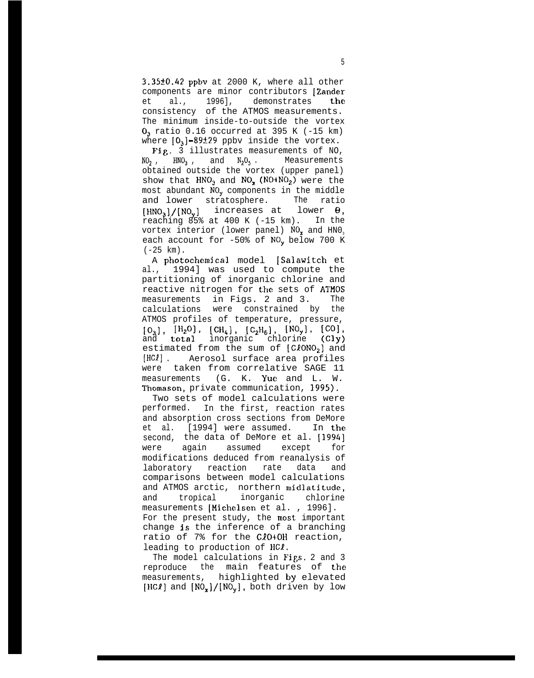3.35f0.42 ppbv at 2000 K, where all other components are minor contributors [Zander et al., 1996], demonstrates the consistency of the ATMOS measurements. The minimum inside-to-outside the vortex  $0<sub>3</sub>$  ratio 0.16 occurred at 395 K (-15 km) where  $[0<sub>3</sub>]-89±29$  ppbv inside the vortex.

Fig. 3 illustrates measurements of NO,  $NO<sub>2</sub>$ ,  $HNO<sub>3</sub>$ , and  $N<sub>2</sub>O<sub>5</sub>$ . Measurements obtained outside the vortex (upper panel) show that  $HNO<sub>3</sub>$  and  $NO<sub>x</sub>$  (NO+NO<sub>2</sub>) were the most abundant  $NO_v$  components in the middle and lower stratosphere. The ratio  $[HNO<sub>3</sub>]/[NO<sub>v</sub>]$  increases at lower  $\theta$ . reaching 85% at 400 K (-15 km). In the vortex interior (lower panel)  $NO<sub>x</sub>$  and  $HNO<sub>3</sub>$ each account for  $-50$ % of NO<sub>v</sub> below 700 K  $(-25$  km).

A photochemical model [Salawitch et al., 1994] was used to compute the partitioning of inorganic chlorine and reactive nitrogen for the sets of ATMOS measurements in Figs. 2 and 3. The calculations were constrained by the ATMOS profiles of temperature, pressure,  $[0_3]$ ,  $[H_2O]$ ,  $[CH_4]$ ,  $[C_2H_6]$ ,  $[NO_y]$ ,  $[CO]$ and total inorganic chlorine (Cly) estimated from the sum of  $[C\ell ONO<sub>2</sub>]$  and [HCl] . Aerosol surface area profiles were taken from correlative SAGE 11 measurements (G. K. Yue and L. W. Thomason, private communication, 1995).

Two sets of model calculations were performed. In the first, reaction rates and absorption cross sections from DeMore et al. [1994] were assumed. In the second, the data of DeMore et al. [1994] were again assumed except for modifications deduced from reanalysis of laboratory reaction rate data and comparisons between model calculations and ATMOS arctic, northern midlatitude, and tropical inorganic chlorine measurements [Michelsen et al. , 1996]. For the present study, the most important change is the inference of a branching ratio of 7% for the CIO+OH reaction, leading to production of HCI.

The model calculations in Figs. 2 and 3 reproduce the main features of the measurements, highlighted by elevated  $[HCI]$  and  $[NO_x]/[NO_y]$ , both driven by low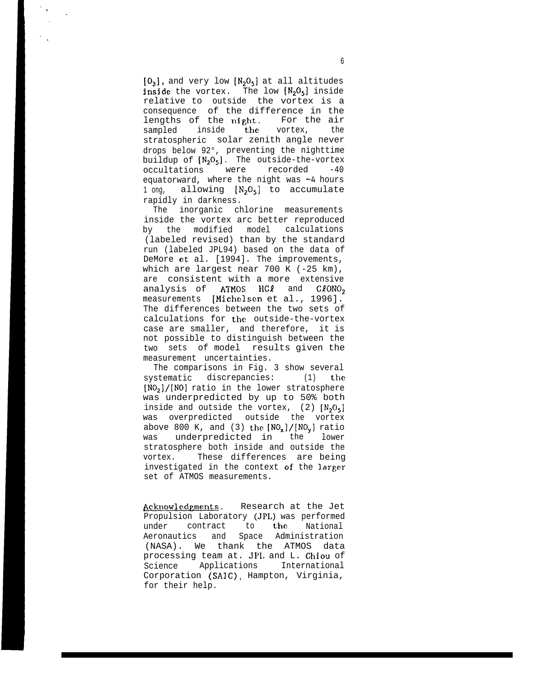$[0<sub>3</sub>]$ , and very low  $[N<sub>2</sub>O<sub>5</sub>]$  at all altitudes inside the vortex. The low  $[N_2O_5]$  inside relative to outside the vortex is a consequence of the difference in the lengths of the night. For the air sampled inside the vortex, the stratospheric solar zenith angle never drops below 92°, preventing the nighttime buildup of  $[N_2O_5]$ . The outside-the-vortex occultations were recorded -40 equatorward, where the night was  $-4$  hours 1 ong, allowing  $[N_2O_5]$  to accumulate rapidly in darkness.

The inorganic chlorine measurements inside the vortex arc better reproduced by the modified model calculations (labeled revised) than by the standard run (labeled JPL94) based on the data of DeMore et al. [1994]. The improvements, which are largest near 700 K (-25 km), are consistent with a more extensive analysis of  $ATMOS$  HC $l$  and  $CIONO<sub>2</sub>$ measurements [Michelsen et al., 1996]. The differences between the two sets of calculations for the outside-the-vortex case are smaller, and therefore, it is not possible to distinguish between the two sets of model results given the measurement uncertainties.

The comparisons in Fig. 3 show several systematic discrepancies: (1) the  $[N0<sub>2</sub>]/[N0]$  ratio in the lower stratosphere was underpredicted by up to 50% both inside and outside the vortex,  $(2)$   $[N_2O_5]$ was overpredicted outside the vortex above 800 K, and (3) the  $[NO_x]/[NO_y]$  ratio was underpredicted in the lower stratosphere both inside and outside the vortex. These differences are being investigated in the context of the larger set of ATMOS measurements.

Acknowledgments. Research at the Jet Propulsion Laboratory (JPL) was performed under contract to the National Aeronautics and Space Administration (NASA). We thank the ATMOS data processing team at. JPI. and L. Chiou of Science Applications International Corporation (SAIC), Hampton, Virginia, for their help.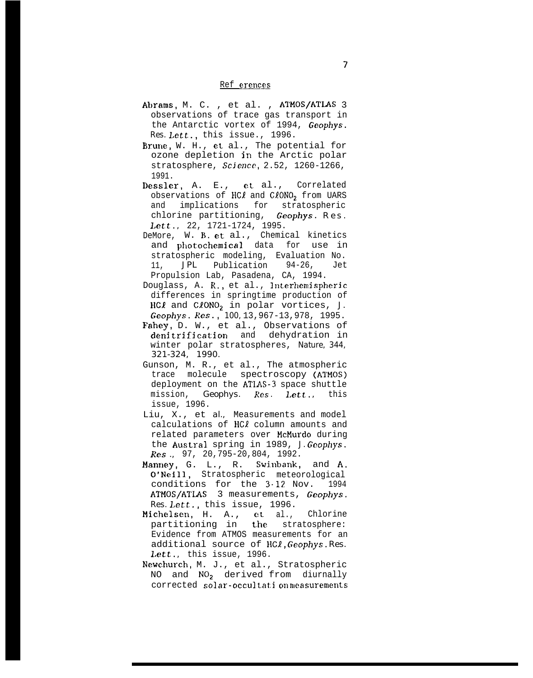## Ref erences

- Abrams, M. C. , et al. , ATMOS/ATLAS 3 observations of trace gas transport in the Antarctic vortex of 1994, *Geophys. Res. Lett.,* this issue., 1996.
- Brune, W. H., et al., The potential for ozone depletion in the Arctic polar stratosphere, *Scjencc,* 2.52, 1260-1266, 1991.
- Dessler, A. E., et al., Correlated observations of  $H C\ell$  and  $C\ell O NO_2$  from UARS and implications for stratospheric chlorine partitioning, *Geophys. Res . Lett. ,* 22, 1721-1724, 1995.
- DeMore, W. B. et al., Chemical kinetics and photochemical data for use in stratospheric modeling, Evaluation No. 11, *JPL* Publication 94-26, Jet Propulsion Lab, Pasadena, CA, 1994.
- Douglass, A. R., et al., Interhemispheric differences in springtime production of HCI and CION02 in polar vortices, *J. Geophys. Res., 100,* 13,967-13,978, 1995.
- Fahey, D. W., et al., Observations of denitrification and dehydration in winter polar stratospheres, *Nature, 344, 321-324, 1990.*
- Gunson, M. R., et al., The atmospheric trace molecule spectroscopy (ATMOS) deployment on the ATL4S-3 space shuttle mission, *Geophys. Res. Lett.*, this issue, 1996.
- Liu, X., et *al.,* Measurements and model calculations of HCl column amounts and related parameters over McMurdo during the Austral spring in 1989, *J. Geophys. Res .,* 97, 20,795-20,804, 1992.
- Manney, G. L., R. Swinbank, and A. O'Neill, Stratospheric meteorological conditions for the  $3.12$  Nov. 1994 ATMOS/ATLAS 3 measurements, *Geophys. Res. Lett.,* this issue, 1996.
- Michelsen, H. A., et al., Chlorine partitioning in the stratosphere: Evidence from ATMOS measurements for an additional source of HCl, *Geophys. Res. Lett. ,* this issue, 1996.
- Newchurch, M. J., et al., Stratospheric NO and  $NO<sub>2</sub>$  derived from diurnally corrected solar-occultation measurements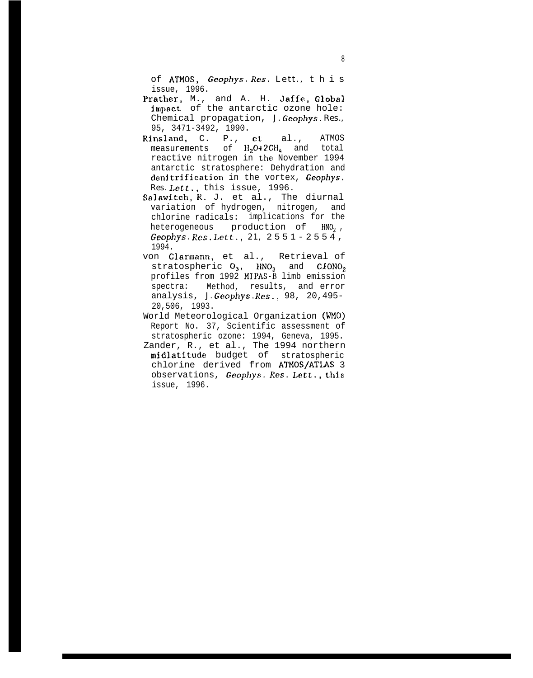of ATMos, *Geophys. Res. Lett.,* thi s issue, 1996.

- Prather, M., and A. H. Jaffe, Global impact of the antarctic ozone hole: Chemical propagation, *J. Geophys. Res.,* 95, 3471-3492, 1990.
- Rinsland, C. P., et al., ATMOS measurements of  $H<sub>2</sub>O+2CH<sub>4</sub>$  and total reactive nitrogen in the November 1994 antarctic stratosphere: Dehydration and denjtrification in the vortex, *Geophys. Res. Lett.,* this issue, 1996.
- Salawitch, R. J. et al., The diurnal variation of hydrogen, nitrogen, and chlorine radicals: implications for the heterogeneous production of HNO<sub>2</sub>, *Geophys. Res. Lett., 21,* 2551-2554 , 1994.
- von Clarmann, et al., Retrieval of stratospheric  $O_3$ ,  $HNO_3$  and  $CIONO_2$ profiles from 1992 MIPAS-B limb emission spectra: Method, results, and error analysis, *J. Geophys. Res.,* 98, 20,495- 20,506, 1993.
- World Meteorological Organization (WMO) Report No. 37, Scientific assessment of stratospheric ozone: 1994, Geneva, 1995.
- Zander, R., et al., The 1994 northern midlatitude budget of stratospheric chlorine derived from ATMOS/ATLAS 3 observations, Geophys. Res. Lett., this issue, 1996.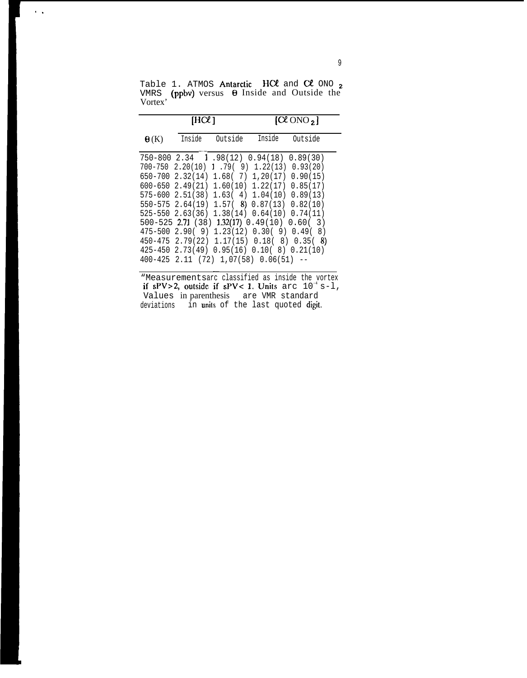Table 1. ATMOS Antarctic  $H C\ell$  and  $C\ell$  ONO  $_{\rm 2}$ VMRS (ppbv) versus  $\Theta$  Inside and Outside the Vortex'

 $\sim$ 

|                        | [HCL]  |         | $\left[\alpha\right]$ ONO $_{2}$ ]                                                                                                                                                                                                                                                                                                                                                                                                                 |                                                                                                                                      |  |
|------------------------|--------|---------|----------------------------------------------------------------------------------------------------------------------------------------------------------------------------------------------------------------------------------------------------------------------------------------------------------------------------------------------------------------------------------------------------------------------------------------------------|--------------------------------------------------------------------------------------------------------------------------------------|--|
| $\Theta(K)$            | Inside | Outside | Inside                                                                                                                                                                                                                                                                                                                                                                                                                                             | Outside                                                                                                                              |  |
| 650-700<br>$600 - 650$ |        |         | $750-800$ 2.34 1.98(12) 0.94(18)<br>$700-750$ 2.20(10) 1.79(9) 1.22(13)<br>2.32(14) 1.68( 7) 1,20(17)<br>$2.49(21)$ 1.60(10) 1.22(17) 0.85(17)<br>$575 - 600$ 2.51(38) 1.63(4) 1.04(10) 0.89(13)<br>$550-575$ 2.64(19) 1.57( 8) 0.87(13) 0.82(10)<br>$525-550$ $2.63(36)$ $1.38(14)$ $0.64(10)$ $0.74(11)$<br>475-500 2.90( 9) 1.23(12) 0.30( 9) 0.49(<br>$425-450$ 2.73(49) 0.95(16) 0.10(8) 0.21(10)<br>$400-425$ 2.11 (72) 1.07(58) 0.06(51) -- | 0.89(30)<br>0.93(20)<br>0.90(15)<br>500-525 2.71 (38) 1.32(17) 0.49(10) 0.60(3)<br>8)<br>$450-475$ 2.79(22) 1.17(15) 0.18(8) 0.35(8) |  |

"Measurementsarc classified as inside the vortex if sPV>2, outside if sPV< 1. Units arc  $10^{-4}$  s-1, Values in parenthesis are VMR standard deviations in **unit**s of the last quoted **digit**.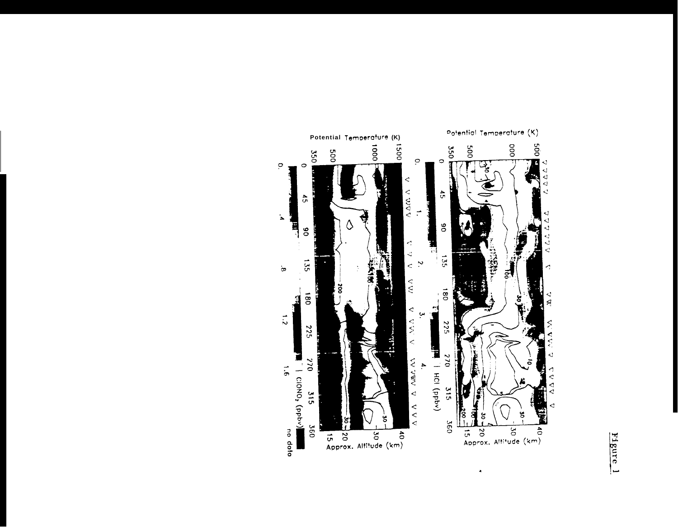